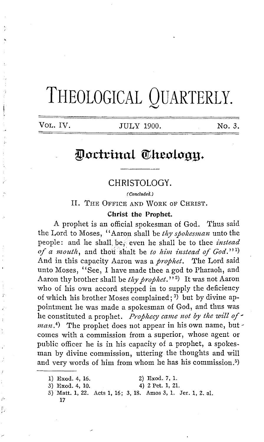# THEOLOGICAL QUARTERLY.

Í

VOL. IV. **JULY 1900.** No. 3.

# Doctrinal Theology.

## CHRISTOLOGY.

( Concluded.)

II. THE OFFICE AND WORK oF CHRIST.

#### **Christ the Prophet.**

A prophet is an official spokesman of God. Thus said the Lord to Moses, "Aaron shall be thy spokesman unto the people: and he shall. be,· even he shall be to thee *instead*  of a mouth, and thou shalt be *to him instead of God.*"<sup>1</sup>) And in this capacity Aaron was a *prophet.* The Lord said unto Moses, "See, I have made thee a god to Pharaoh, and Aaron thy brother shall be *thy prophet.*''<sup>2</sup>) It was not Aaron who of his own accord stepped in to supply the deficiency of which his brother Moses complained; <sup>3</sup> ) but by divine appointment he was made a spokesman of God, and thus was he constituted a prophet. *Prophecy came not by the will of~ man.*<sup>4</sup>) The prophet does not appear in his own name, but comes with a commission from a superior, whose agent or public officer he is in his capacity of a prophet, a spokesman by divine commission, uttering the thoughts and will and very words of him from whom he has his commission. 5)

- 1) Exod. 4, 16. 2) Exod. 7, 1.
- 3) Exod. 4, 10. 4) 2 Pet. 1, 21.

I ,,

- 
- 5) Matt. **1,** 22. Acts **1,** 16; 3, 18. Amos 3, 1. Jer. **1,** 2. al. 17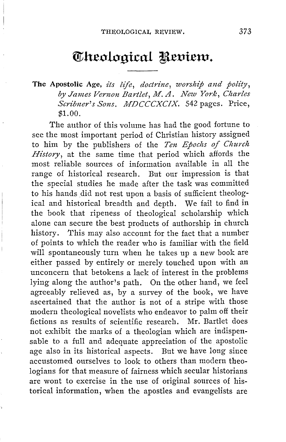# $\Phi$ keological Review.

**The Apostolic Age,** *its life, doctrine, worship and polity, by James Vernon Bartlet, M.A. New York, Charles Scribner's Sons. MDCCCXCIX.* 542 pages. Price, \$1.00.

The author of this volume has had the good fortune to see the most important period of Christian history assigned to him by the publishers of the *Ten Epochs of Church History,* at the same time that period which affords the most reliable sources of information available in all the range of historical research. But our impression is that the special studies he made after the task was committed to his hands did not rest upon a basis of sufficient theological and historical breadth and depth. We fail to find in the book that ripeness of theological scholarship which alone can secure the best products of authorship in church history. This may also account for the fact that a number of points to which the reader who is familiar with the field will spontaneously turn when he takes up a new book are either passed by entirely or merely touched upon with an unconcern that betokens a lack of interest in the problems lying along the author's path. On the other hand, we feel agreeably relieved as, by a survey of the book, we have ascertained that the author is not of a stripe with those modern theological novelists who endeavor to palm off their fictions as results of scientific research. Mr. Bartlet does not exhibit the marks of a theologian which are indispensable to a full and adequate appreciation of the apostolic age also in its historical aspects. But we have long since accustomed ourselves to look to others than modern theologians for that measure of fairness which secular historians are wont to exercise in the use of original sources of historical information, when the apostles and evangelists are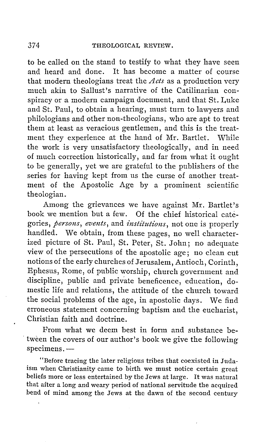to be called on the stand to testify to what they have seen and heard and done. It has become a matter of course that modern theologians treat the *Acts* as a production very much akin to Sallust's narrative of the Catilinarian conspiracy or a modern campaign document, and that St. Luke and St. Paul, to obtain a hearing, must turn to lawyers and philologians and other non-theologians, who are apt to treat them at least as veracious gentlemen, and this is the treatment they experience at the hand of Mr. Bartlet. While the work is very unsatisfactory theologically, and in need of much correction historically, and far from what it ought to be generally, yet we are grateful to the publishers of the series for having kept from us the curse of another treatment of the Apostolic Age by a prominent scientific theologian.

Among the grievances we have against Mr. Bartlet's book we mention but a few. Of the chief historical categories, *persons, events,* and *institutions,* not one is properly handled. We obtain, from these pages, no well characterized picture of St. Paul, St. Peter, St. John; no adequate view of the persecutions of the apostolic age; no clean cut notions of the early churches of Jerusalem, Antioch, Corinth, Ephesus, Rome, of public worship, church government and discipline, public and private beneficence, education, domestic life and relations, the attitude of the church toward the social problems of the age, in apostolic days. We find erroneous statement concerning baptism and the eucharist, Christian faith and doctrine.

From what we deem best in form and substance be tween the covers of our author's book we give the following specimens. -

"Before tracing the later religious tribes that coexisted in Judaism when Christianity came to birth we must notice certain great beliefs more or less entertained by the Jews at large. It was natural that after a long and weary period of national servitude the acquired bend of mind among the Jews at the dawn of the second century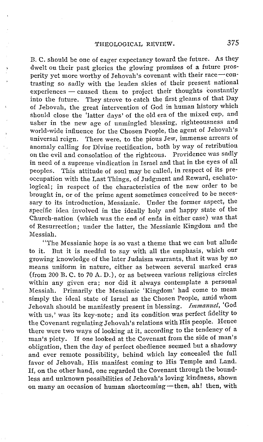B. C. should be one of eager expectancy toward the future. As they dwelt on their past glories the glowing promises of a future prosperity yet more worthy of Jehovah's covenant with their race-contrasting so sadly with the leaden skies of their present national experiences - caused them to project their thoughts constantly into the future. They strove to catch the first gleams of that Day of Jehovah, the great intervention of God in human history which should close the 'latter days' of the old era of the mixed cup, and usher in the new age of unmingled blessing, righteousness and world-wide influence for the Chosen People, the agent of Jehovah's universal reign. There were, to the pious Jew, immense arrears of There were, to the pious Jew, immense arrears of anomaly calling for Divine rectification, both by way of retribution<br>on the evil and consolation of the righteous. Providence was sadly on the evil and consolation of the righteous. in need of a supreme vindication in Israel and that in the eyes of all peoples. This attitude of soul may be called, in respect of its preoccupation with the Last Things, of Judgment and Reward, eschatological; in respect of the characteristics of the new order to be brought in, or of the prime agent sometimes conceived to be necessary to its introduction, Messianic. Under the former aspect, the specific idea involved in the ideally holy and happy state of the Church-nation (which was the end of ends in either case) was that of Resurrection; under the latter, the Messianic Kingdom and the Messiah.

"The Messianic hope is so vast a theme that we can but allude to it. But it is needful to say with all the emphasis, which our growing knowledge of the later Judaism warrants, that it was by no means uniform in nature, either as between several marked eras (from 200 B.C. to 70 A.D.), or as between various religious circles within any given era; nor did it always contemplate a personal Messiah. Primarily the Messianic 'Kingdom' had come to mean simply the ideal state of Israel as the Chosen People, amid whom Jehovah should be manifestly present in blessing. *Immanuel,* 'God with us,' was its key-note; and its condition was perfect fidelity to the Covenant regulating Jehovah's relations with His people. Hence there were two ways of looking at it, according to the tendency of a man's piety. If one looked at the Covenant from the side of man's obligation, then the day of perfect obedience seemed but a shadowy and ever remote possibility, behind which lay concealed the full favor of Jehovah, His manifest coming to His Temple and Land. If, on the other hand, one regarded the Covenant through the boundless and unknown possibilities of Jehovah's loving kindness, shown on many an occasion of human shortcoming-then, ah! then, with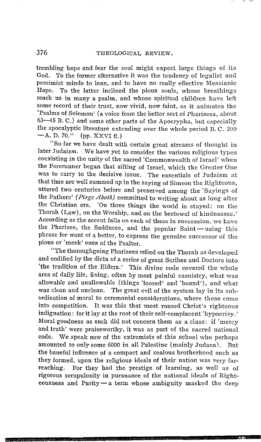trembling hope and fear the soul might expect large things of its God. To the former alternative it was the tendency of legalist and pessimist minds to lean, and to have no really effective Messianic Hope. To the latter inclined the pious souls, whose breathings reach us in many a psalm, and whose spiritual children have left some record of their trust, now vivid, now faint, as it animates the 'Psalms of Solomon' (a voice from the better sort of Pharisees, about 63-45 B. C.) and some other parts of the Apocrypha, but especially the apocalyptic literature extending over the whole period B.C. 200  $-A. D. 70."$  (pp. XXVI ff.)

"So far we have dealt with certain great streams of thought in later Judaism. We have yet to consider the various religious types coexisting in the unity of the sacred 'Commonwealth of Israel' when the Forerunner began that sifting of Israel, which the Greater One was to carry to the decisive issue. The essentials of Judaism at that time are well summed up in the saying of Simeon the Righteous, uttered two centuries before and preserved among the 'Sayings of the Fathers' *( Pirge Aboth)* committed to writing about as long after the Christian era. 'On three things the world is stayed: on the Thorah (Law), on the Worship, and on the bestowal of kindnesses.' According as the accent falls on each of these in succession, we have the Pharisee, the Sadducee, and the popular Saint-using this phrase for want of a better, to express the genuine successor of the pious or 'meek' ones of the Psalter.

"The thoroughgoing Pharisees relied on the Thorah as developed and codified by the dicta of a series of great Scribes and Doctors into 'the tradition of the Elders.' This divine code covered the whole area of daily life, fixing, often by most painful casuistry, what was allowable and unallowable (things 'loosed' and 'bound'), and what was clean and unclean. The great evil of the system lay in its subordination of moral to ceremonial considerations, where these come into competition. It was this that most roused Christ's righteous indignation: for it lay at the root of their self-complacent 'hypocrisy.' Moral goodness as such did not concern them as a class: if 'mercy and truth' were praiseworthy, it was as part of the sacred national code. We speak now of the extremists of this school who perhaps amounted to only some 6000 in all Palestine (mainly Judaea). But the baneful influence of a compact and zealous brotherhood such as they formed, upon the religious ideals of their nation was very farreaching. For they had the prestige of learning, as well as of rigorous scrupulosity in pursuance of the national ideals of Righteousness and Purity $-a$  term whose ambiguity masked the deep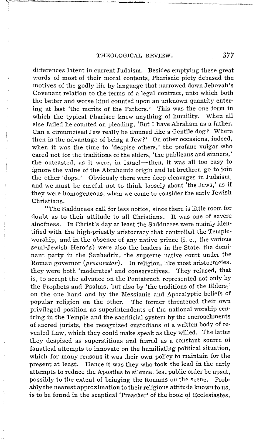#### THEOLOGICAL REVIEW. 377

differences latent in current Judaism. Besides emptying these great words of most of their moral contents, Pharisaic piety debased the motives of the godly life by language that narrowed down Jehovah's Covenant relation to the terms of a legal contract, unto which both the better and worse kind counted upon an unknown quantity entering at last 'the merits of the Fathers.' This was the one form in which the typical Pharisee knew anything of humility. When all else failed he counted on pleading, 'But I have Abraham as a father. Can a circumcised Jew really be damned like a Gentile dog? Where then is the advantage of being a Jew?' On other occasions, indeed, when it was the time to 'despise others,' the profane vulgar who cared not for the traditions of the elders, 'the publicans and sinners,' the outcasted, as it were, in Israel-then, it was all too easy to ignore the value of the Abrahamic origin and let brethren go to join the other 'dogs.' Obviously there were deep cleavages in Judaism, and we must be careful not to think loosely about 'the Jews,' as if they were homogeneous, when we come to consider the early Jewish Christians.

"The Sadducees call for less notice, since there is little room for doubt as to their attitude to all Christians. It was one of severe aloofness. In Christ's day at least the Sadducees were mainly identified with the high-priestly aristocracy that controlled the Templeworship, and in the absence of any native prince (i. e., the various semi-Jewish Herods) were also the leaders in the State, the dominant party in the Sanhedrin, the supreme native court under the Roman governor *(procurator).* In religion, like most aristocracies, they were both 'moderates' and conservatives. They refused, that is, to accept the advance on the Pentateuch represented not only by the Prophets and Psalms, but also by 'the traditions of the Elders,' on the one hand and by the Messianic and Apocalyptic beliefs of popular religion on the other. The former threatened their own privileged position as superintendents of the national worship centring in the Temple and the sacrificial system by the encroachments of sacred jurists, the recognized custodians of a written body of revealed Law, which they could make speak as they willed. The latter they despised as superstitious and feared as a constant source of fanatical attempts to innovate on the humiliating political situation, which for many reasons it was their own policy to maintain for the present at least. Hence it was they who took the lead in the early attempts to reduce the Apostles to silence, lest public order be upset, possibly to the extent of bringing the Romans on the scene. Probably the nearest approximation to their religious attitude known to us, is to be found in the sceptical 'Preacher' of the book of Ecclesiastes.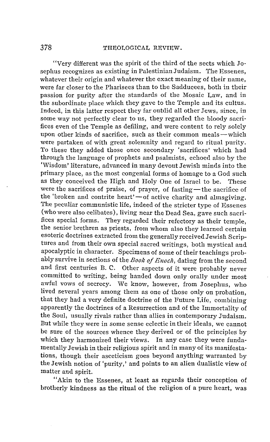"Very different was the spirit of the third of the sects which Josephus recognizes as existing in Palestinian Judaism. The Essenes, whatever their origin and whatever the exact meaning of their name, were far closer to the Pharisees than to the Sadducees, both in their passion for purity after the standards of the Mosaic Law, and in the subordinate place which they gave to the Temple and its cultus. Indeed, in this latter respect they far outdid all other Jews, since, in some way not perfectly clear to us, they regarded the bloody sacrifices even of the Temple as defiling, and were content to rely solely upon other kinds of sacrifice, such as their common meals—which were partaken of with great solemnity and regard to ritual purity. To these they added those once secondary 'sacrifices' which had through the language of prophets and psalmists, echoed also by the 'Wisdom' literature, advanced in many devout Jewish minds into the primary place, as the most congenial forms of homage to a God such as they conceived the High and Holy One of Israel to be. These were the sacrifices of praise, of prayer, of fasting-the sacrifice of the 'broken and contrite heart'—of active charity and almsgiving. The peculiar communistic life, indeed of the stricter type of Essenes (who were also celibates), living near the Dead Sea, gave such sacrifices special forms. They regarded their refectory as their temple, the senior brethren as priests, from whom also they learned certain esoteric doctrines extracted from the generally received Jewish Scriptures and from their own special sacred writings, both mystical and apocalyptic in character. Specimens of some of their teachings probably survive in sections of the *Book of Enoch*, dating from the second and first centuries B. C. Other aspects of it were probably never committed to writing, being handed down only orally under most awful vows of secrecy. We know, however, from Josephus, who lived several years among them as one of those only on probation, that they had a very definite doctrine of the Future Life, combining apparently the doctrines of a Resurrection and of the Immortality of the Soul, usually rivals rather than allies in contemporary Judaism. But while they were in some sense eclectic in their ideals, we cannot be sure of the sources whence they derived or of the principles by which they harmonized their views. In any case they were fundamentally Jewish in their religious spirit and in many of its manifestations, though their asceticism goes beyond anything warranted by the Jewish notion of 'purity,' and points to an alien dualistic view of matter and spirit.

"Akin to the Essenes, at least as regards their conception of brotherly kindness as the ritual of the religion of a pure heart, was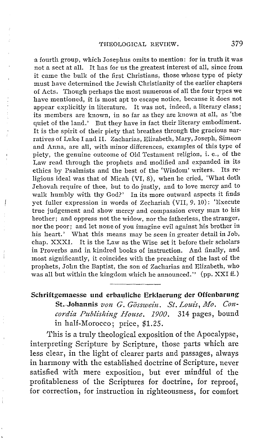a fourth group, which Josephus omits to mention: for in truth it was not a sect at all. It has for us the greatest interest of all, since from it came the bulk of the first Christians, those whose type of piety must have determined the Jewish Christianity of the earlier chapters of Acts. Though perhaps the most numerous of all the four types we have mentioned, it is most apt to escape notice, because it does not appear explicitly in literature. It was not, indeed, a literary class; its members are known, in so far as they are known at all, as 'the quiet of the land.' But they have in fact their literary embodiment. It is the spirit of their piety that breathes through the gracious narratives of Luke I and II. Zacharias, Elizabeth, Mary, Joseph, Simeon and Anna, are all, with minor differences, examples of this type of piety, the genuine outcome of Old Testament religion, i.e., of the I,aw read through the prophets and modified and expanded in its ethics by Psalmists and the best of the 'Wisdom' writers. Its religious ideal was that of Micah (VI, 8), when he cried, 'What doth Jehovah require of thee, but to do justly, and to love mercy and to walk humbly with thy God?' In its more outward aspects it finds yet fuller expression in words of Zechariah (VII, 9. 10): 'Execute true judgement and show mercy and compassion every man to his brother; and oppress not the widow, nor the fatherless, the stranger, nor the poor; and let none of you imagine evil against his brother in his heart.' What this means may be seen in greater detail in Job, chap. XXXI. It is the Law as the Wise set it before their scholars in Proverbs and in kindred books of instruction. And finally, and most significantly, it coincides with the preaching of the last of the prophets, John the Baptist, the son of Zacharias and Elizabeth, who was all but within the kingdom which he announced." (pp. XXI ff.)

### Schriftgemaesse und erbauliche Erklaerung der Offenbarung

St. Johannis von G. Gösswein, St. Louis, Mo. Con*cordia Publishing House. 1900.* 314 pages, bound in half-Morocco; price, \$1.25.

This is a truly theological exposition of the Apocalypse, interpreting Scripture by Scripture, those parts which are less clear, in the light of clearer parts and passages, always in harmony with the established doctrine of Scripture, never satisfied with mere exposition, but ever mindful of the profitableness of the Scriptures for doctrine, for reproof, for correction, for instruction in righteousness, for comfort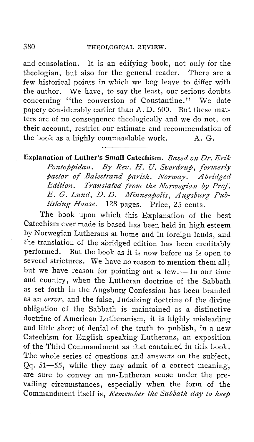and consolation. It is an edifying book, not only for the theologian, but also for the general reader. There are a few historical points in which we beg leave to differ with the author. We have, to say the least, our serious doubts concerning ''the conversion of Constantine.'' We date popery considerably earlier than A. D. 600. But these matters are of no consequence theologically and we do not, on their account, restrict our estimate and recommendation of the book as a highly commendable work.  $A, G$ .

**Explanation of Luther's Small Catechism.** *Based on Dr. Erik*  Pontoppidan. By Rev. H. U. Sverdrup, formerly pastor of Balestrand parish, Norway. Abridged *Edition.* Translated from the Norwegian by Prof. *E. G. Lund, D. D. Minneapolis, Augsburg Publishing House.* 128 pages. Price, 25 cents.

The book upon which this Explanation of the best Catechism ever made is based has been held in high esteem by Norwegian Lutherans at home and in foreign lands, and the translation of the abridged edition has been creditably performed. But the book as it is now before us is open to several strictures. We have no reason to mention them all; but we have reason for pointing out a few. - In our time and country, when the Lutheran doctrine of the Sabbath as set forth in the Augsburg Confession has been branded as an *error,* and the false, Judaizing doctrine of the divine obligation of the Sabbath is maintained as a distinctive doctrine of American Lutheranism, it is highly misleading and little short of denial of the truth to publish, in a new Catechism for English speaking Lutherans, an exposition of the Third Commandment as that contained in this book. The whole series of questions and answers on the subject, Qq. 51-55, while they may admit of a correct meaning, are sure to convey an un-Lutheran sense under the prevailing circumstances, especially when the form of the Commandment itself is, *Remember the Sabbath day to keep*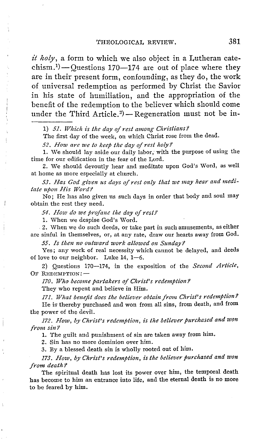*it holy,* a form to which we also object in a Lutheran catechism.<sup>1</sup>)- $Q$ uestions 170-174 are out of place where they are in their present form, confounding, as they do, the work of universal redemption as performed by Christ the Savior in his state of humiliation, and the appropriation of the benefit of the redemption to the believer which should come benent or the reaemption to the believer which should come<br>under the Third Article.<sup>2</sup>) – Regeneration must not be in-

1) *51. Wkicli is tlte day of rest among Christians?* 

The first day of the week, on which Christ rose from the dead.

*52. I-low are we to keep tlte day of rest lioly?* 

1. We should lay aside our daily labor; with the purpose of using the time for our edification in the fear of the Lord.

2. We should devoutly hear and meditate upon God's Word, as well at home as more especially at church.

53. Has God given us days of rest only that we may hear and medi*tate upon His Word?* 

No; He has also given us such days in order that body and soul may obtain the rest they need.

54. How do we profane the day of rest?

1. When we despise God's Word.

, 2. 'When we do such deeds, or take part in such amusements, as either are sinful in themselves, or, at any rate, draw our hearts away from God.

*55. Is then no outward work allowed on Sunday?* 

Yes; any work of real necessity which cannot be delayed, and deeds of love to our neighbor. Luke  $14, 1-6$ .

2) Questions 170-174, in the exposition of the *Second Article,*  OF REDEMPTION: $-$ 

*170. Who become partakers of Christ's redemption?* 

They who repent and believe in Him.

171. What benefit does the believer obtain from Christ's redemption? He is thereby purchased and won from all sins, from death, and from the power of the devil.

172. How, by Christ's redemption, is the believer purchased and won *from sin?* 

1. The guilt and punishment of sin are taken away from him.

2. Sin has 110 more dominion over him.

3. By a blessed death sin is wholly rooted out of him.

*173. How, by Christ's redemption, is the believer purchased and won from death?* 

The spiritual death has lost its power over him, the temporal death has become to him an entrance into life, and the eternal death is no more to be feared by him.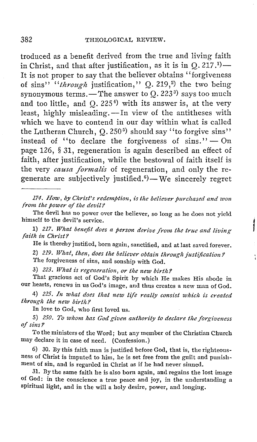troduced as a benefit derived from the true and living faith troanced as a beneat derived from the true and fiving faith<br>in Christ, and that after justification, as it is in  $Q. 217$ .<sup>1</sup>) It is not proper to say that the believer obtains '' forgiveness of sins" *"through* justification," Q. 219,<sup>2</sup>) the two being synonymous terms.—The answer to Q. 223 $^{\rm 3)}$  says too much and too little, and  $Q$ . 225<sup>4</sup>) with its answer is, at the very least, highly misleading. - In view of the antitheses with which we have to contend in our day within what is called the Lutheran Church,  $Q$ . 250<sup>5</sup>) should say "to forgive sins" instead of "to declare the forgiveness of sins."  $-$  On page 126, § 31, regeneration is again described an effect of faith, after justification, while the bestowal of faith itself is the very *causa formalis* of regeneration, and only the rethe very *causa formatis* of regeneration, and only the re-<br>generate are subjectively justified.<sup>6</sup>)—We sincerely regret

174. How, by Christ's redemption, is the believer purchased and won *from the power of the devil.'2* 

The devil has no power over the believer, so long as he does not yield himself to the devil's service.

l} *217. What benefit does a person derive from the true and living*   $faith$  *in Christ?* 

He is thereby justified, born again, sanctified, and at last saved forever.

2) *219. What, then, does the believer obtain through justification?* The forgiveness of sins, and sonship with God.

3) *223. What is regeneration, or the new birth?* 

That gracious act of God's Spirit by which He makes His abode in our hearts, renews in us God's image, and thus creates a new man of God.

4) 225. In what does that new life really consist which is created *through the new birth?* 

In love to God, who first loved us.

5) 250. To whom has God given authority to declare the forgiveness of sins?

To the ministers of the Word; but any member of the Christian Church may declare it in case of need. (Confession.)

6) 30. By this faith man is justified before God, that is, the righteousness of Christ is imputed to him, he is set free from the guilt and punishment of sin, and is regarded in Christ as if he had never sinned.

31. By the same faith he is also born again, and regains the lost image of God: in the conscience a true peace and joy, in the understanding a spiritual light, and in the will a holy desire, power, and longing.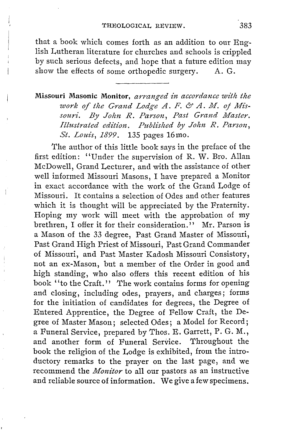that a book which comes forth as an addition to our English Lutheran literature for churches and schools is crippled by such serious defects, and hope that a future edition may show the effects of some orthopedic surgery. A. G.

## **Missouri Masonic Monitor,** *arranged -in accordance w-ith the*  work of the Grand Lodge A. F. & A. M. of Mis*souri. By John R. Parson, Past Grand Master. Illustrated edition. Published by John R. Parson, St. Louis, 1899.* 135 pages 16mo.

The author of this little book says in the preface of the first edition: "Under the supervision of R. W. Bro. Allan McDowell, Grand Lecturer, and with the assistance of other well informed Missouri Masons, I have prepared a Monitor in exact accordance with the work of the Grand Lodge of Missouri. It contains a selection of Odes and other features which it is thought will be appreciated by the Fraternity. Hoping my work will meet with the approbation of my brethren, I offer it for their consideration.'' Mr. Parson is a Mason of the 33 degree, Past Grand Master of Missouri, Past Grand High Priest of Missouri, Past Grand Commander of Missouri, and Past Master Kadosh Missouri Consistory, not an ex-Mason, but a member of the Order in good and high standing, who also offers this recent edition of his book ''to the Craft.'' The work contains forms for opening and closing, including odes, prayers, and charges; forms for the initiation of candidates for degrees, the Degree of Entered Apprentice, the Degree of Fellow Craft, the Degree of Master Mason; selected Odes; a Model for Record; a Funeral Service, prepared by Thos. E. Garrett, P. G. M., and another form of Funeral Service. Throughout the book the religion of the Lodge is exhibited, from the introductory remarks to the prayer on the last page, and we recommend the *Monitor* to all our pastors as an instructive and reliable source of information. We give a few specimens.